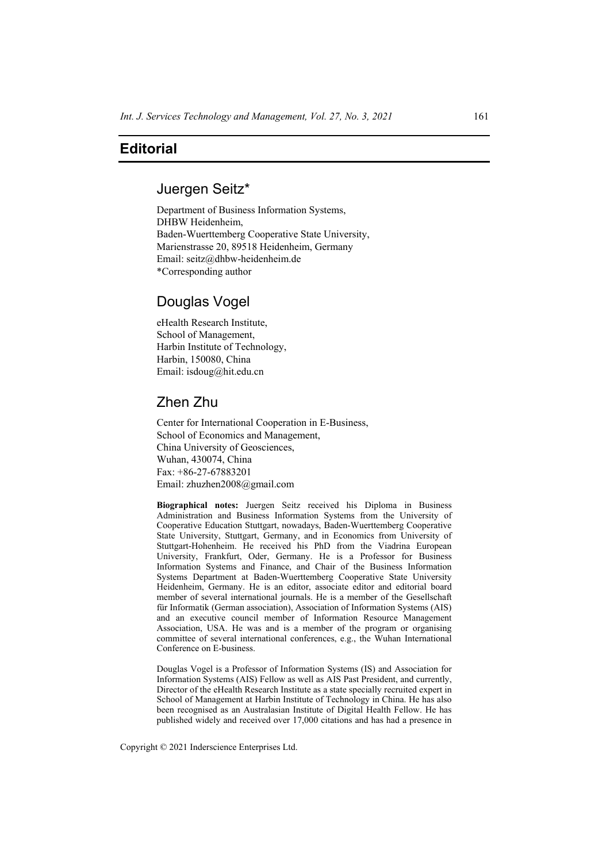### **Editorial**

#### Juergen Seitz\*

Department of Business Information Systems, DHBW Heidenheim, Baden-Wuerttemberg Cooperative State University, Marienstrasse 20, 89518 Heidenheim, Germany Email: seitz@dhbw-heidenheim.de \*Corresponding author

## Douglas Vogel

eHealth Research Institute, School of Management, Harbin Institute of Technology, Harbin, 150080, China Email: isdoug@hit.edu.cn

# Zhen Zhu

Center for International Cooperation in E-Business, School of Economics and Management, China University of Geosciences, Wuhan, 430074, China Fax: +86-27-67883201 Email: zhuzhen2008@gmail.com

**Biographical notes:** Juergen Seitz received his Diploma in Business Administration and Business Information Systems from the University of Cooperative Education Stuttgart, nowadays, Baden-Wuerttemberg Cooperative State University, Stuttgart, Germany, and in Economics from University of Stuttgart-Hohenheim. He received his PhD from the Viadrina European University, Frankfurt, Oder, Germany. He is a Professor for Business Information Systems and Finance, and Chair of the Business Information Systems Department at Baden-Wuerttemberg Cooperative State University Heidenheim, Germany. He is an editor, associate editor and editorial board member of several international journals. He is a member of the Gesellschaft für Informatik (German association), Association of Information Systems (AIS) and an executive council member of Information Resource Management Association, USA. He was and is a member of the program or organising committee of several international conferences, e.g., the Wuhan International Conference on E-business.

Douglas Vogel is a Professor of Information Systems (IS) and Association for Information Systems (AIS) Fellow as well as AIS Past President, and currently, Director of the eHealth Research Institute as a state specially recruited expert in School of Management at Harbin Institute of Technology in China. He has also been recognised as an Australasian Institute of Digital Health Fellow. He has published widely and received over 17,000 citations and has had a presence in